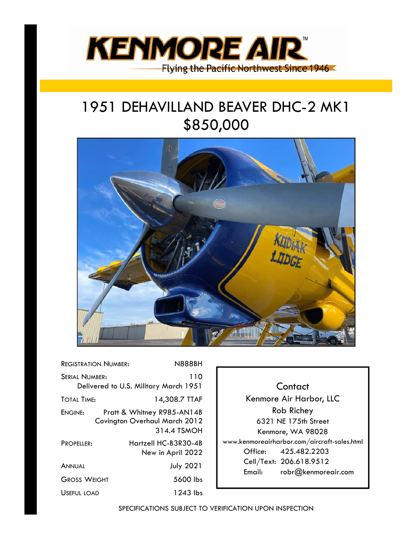

## 1951 DEHAVILLAND BEAVER DHC-2 MK1 \$850,000



| <b>REGISTRATION NUMBER:</b><br><b>N888BH</b>                               |
|----------------------------------------------------------------------------|
| 110<br>Delivered to U.S. Military March 1951                               |
| 14,308.7 TTAF                                                              |
| Pratt & Whitney R985-AN14B<br>Covington Overhaul March 2012<br>314.4 TSMOH |
| Hartzell HC-B3R30-4B<br>New in April 2022                                  |
| <b>July 2021</b>                                                           |
| 5600 lbs                                                                   |
| 1243 lbs                                                                   |
|                                                                            |

**Contact** Kenmore Air Harbor, LLC Rob Richey 6321 NE 175th Street Kenmore, WA 98028 www.kenmoreairharbor.com/aircraft-sales.html Office: 425.482.2203 Cell/Text: 206.618.9512 Email: robr@kenmoreair.com

SPECIFICATIONS SUBJECT TO VERIFICATION UPON INSPECTION